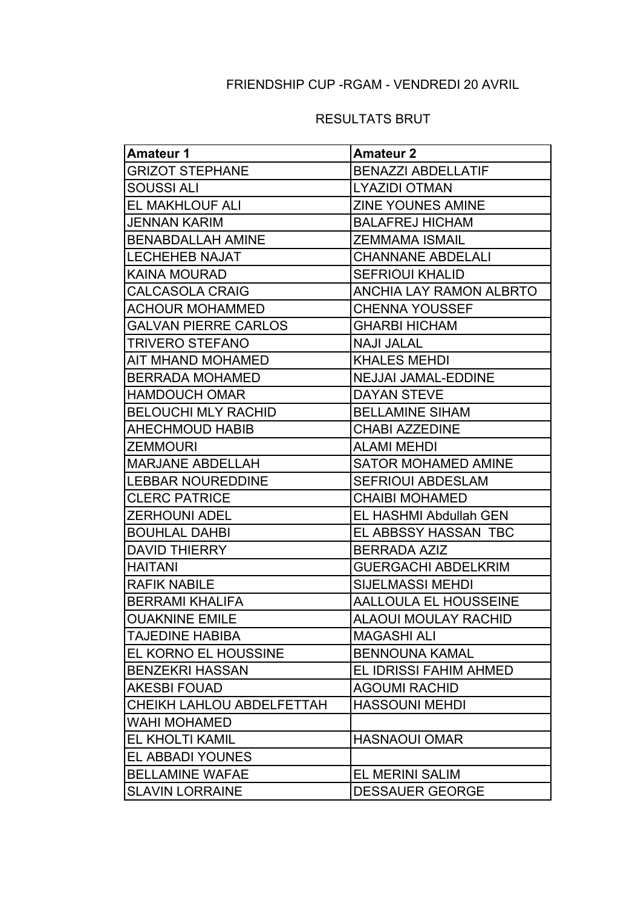# FRIENDSHIP CUP -RGAM - VENDREDI 20 AVRIL

### RESULTATS BRUT

| <b>Amateur 1</b>            | <b>Amateur 2</b>               |  |
|-----------------------------|--------------------------------|--|
| <b>GRIZOT STEPHANE</b>      | <b>BENAZZI ABDELLATIF</b>      |  |
| SOUSSI ALI                  | <b>LYAZIDI OTMAN</b>           |  |
| EL MAKHLOUF ALI             | <b>ZINE YOUNES AMINE</b>       |  |
| <b>JENNAN KARIM</b>         | <b>BALAFREJ HICHAM</b>         |  |
| <b>BENABDALLAH AMINE</b>    | <b>ZEMMAMA ISMAIL</b>          |  |
| <b>LECHEHEB NAJAT</b>       | <b>CHANNANE ABDELALI</b>       |  |
| <b>KAINA MOURAD</b>         | <b>SEFRIOUI KHALID</b>         |  |
| <b>CALCASOLA CRAIG</b>      | <b>ANCHIA LAY RAMON ALBRTO</b> |  |
| <b>ACHOUR MOHAMMED</b>      | <b>CHENNA YOUSSEF</b>          |  |
| <b>GALVAN PIERRE CARLOS</b> | <b>GHARBI HICHAM</b>           |  |
| <b>TRIVERO STEFANO</b>      | <b>NAJI JALAL</b>              |  |
| AIT MHAND MOHAMED           | <b>KHALES MEHDI</b>            |  |
| <b>BERRADA MOHAMED</b>      | <b>NEJJAI JAMAL-EDDINE</b>     |  |
| <b>HAMDOUCH OMAR</b>        | <b>DAYAN STEVE</b>             |  |
| <b>BELOUCHI MLY RACHID</b>  | <b>BELLAMINE SIHAM</b>         |  |
| <b>AHECHMOUD HABIB</b>      | <b>CHABI AZZEDINE</b>          |  |
| <b>ZEMMOURI</b>             | <b>ALAMI MEHDI</b>             |  |
| <b>MARJANE ABDELLAH</b>     | <b>SATOR MOHAMED AMINE</b>     |  |
| <b>LEBBAR NOUREDDINE</b>    | <b>SEFRIOUI ABDESLAM</b>       |  |
| <b>CLERC PATRICE</b>        | <b>CHAIBI MOHAMED</b>          |  |
| <b>ZERHOUNI ADEL</b>        | EL HASHMI Abdullah GEN         |  |
| <b>BOUHLAL DAHBI</b>        | EL ABBSSY HASSAN TBC           |  |
| <b>DAVID THIERRY</b>        | <b>BERRADA AZIZ</b>            |  |
| <b>HAITANI</b>              | <b>GUERGACHI ABDELKRIM</b>     |  |
| <b>RAFIK NABILE</b>         | <b>SIJELMASSI MEHDI</b>        |  |
| <b>BERRAMI KHALIFA</b>      | <b>AALLOULA EL HOUSSEINE</b>   |  |
| <b>OUAKNINE EMILE</b>       | <b>ALAOUI MOULAY RACHID</b>    |  |
| <b>TAJEDINE HABIBA</b>      | <b>MAGASHI ALI</b>             |  |
| EL KORNO EL HOUSSINE        | <b>BENNOUNA KAMAL</b>          |  |
| <b>BENZEKRI HASSAN</b>      | EL IDRISSI FAHIM AHMED         |  |
| <b>AKESBI FOUAD</b>         | <b>AGOUMI RACHID</b>           |  |
| CHEIKH LAHLOU ABDELFETTAH   | <b>HASSOUNI MEHDI</b>          |  |
| <b>WAHI MOHAMED</b>         |                                |  |
| <b>EL KHOLTI KAMIL</b>      | <b>HASNAOUI OMAR</b>           |  |
| <b>EL ABBADI YOUNES</b>     |                                |  |
| <b>BELLAMINE WAFAE</b>      | <b>EL MERINI SALIM</b>         |  |
| <b>SLAVIN LORRAINE</b>      | <b>DESSAUER GEORGE</b>         |  |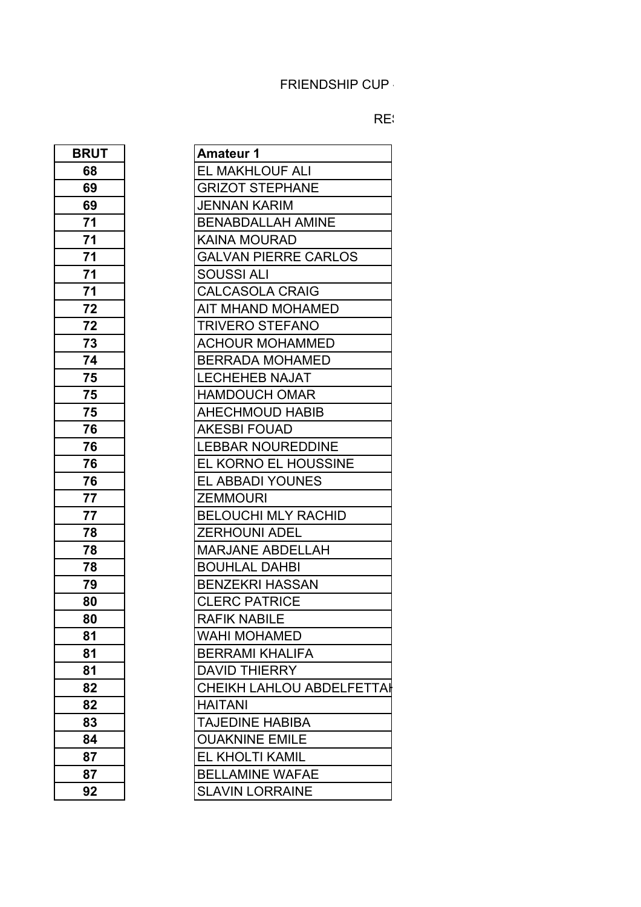# FRIENDSHIP CUP

#### RESULTATS BRUT RESULTATS NET

| <b>BRUT</b>                                                                           |
|---------------------------------------------------------------------------------------|
| 68                                                                                    |
|                                                                                       |
|                                                                                       |
|                                                                                       |
|                                                                                       |
|                                                                                       |
| $\frac{69}{69}$ $\frac{71}{71}$ $\frac{71}{71}$                                       |
| $\frac{71}{72}$<br>$\frac{72}{72}$                                                    |
|                                                                                       |
|                                                                                       |
| $\frac{73}{74}$<br>$\frac{74}{75}$                                                    |
|                                                                                       |
|                                                                                       |
| $\frac{75}{75}$<br>$\frac{75}{76}$                                                    |
|                                                                                       |
|                                                                                       |
|                                                                                       |
| $\begin{array}{r} \n \overline{76} \\  \overline{76} \\  \overline{76}\n \end{array}$ |
|                                                                                       |
| 77<br>77<br>78                                                                        |
|                                                                                       |
|                                                                                       |
| $\frac{78}{6}$                                                                        |
| 78                                                                                    |
| 79                                                                                    |
| $\frac{80}{1}$                                                                        |
| 80                                                                                    |
| 81                                                                                    |
| 81                                                                                    |
| 81                                                                                    |
| 82                                                                                    |
| 82                                                                                    |
| 83                                                                                    |
| 84                                                                                    |
| 87                                                                                    |
| 87                                                                                    |
| 92                                                                                    |

| <b>BRUT</b> | <b>Amateur 1</b>                 |
|-------------|----------------------------------|
| 68          | EL MAKHLOUF ALI                  |
| 69          | <b>GRIZOT STEPHANE</b>           |
| 69          | <b>JENNAN KARIM</b>              |
| 71          | <b>BENABDALLAH AMINE</b>         |
| 71          | KAINA MOURAD                     |
| 71          | <b>GALVAN PIERRE CARLOS</b>      |
| 71          | SOUSSI ALI                       |
| 71          | <b>CALCASOLA CRAIG</b>           |
| 72          | AIT MHAND MOHAMED                |
| 72          | <b>TRIVERO STEFANO</b>           |
| 73          | <b>ACHOUR MOHAMMED</b>           |
| 74          | <b>BERRADA MOHAMED</b>           |
| 75          | <b>LECHEHEB NAJAT</b>            |
| 75          | <b>HAMDOUCH OMAR</b>             |
| 75          | <b>AHECHMOUD HABIB</b>           |
| 76          | <b>AKESBI FOUAD</b>              |
| 76          | <b>LEBBAR NOUREDDINE</b>         |
| 76          | EL KORNO EL HOUSSINE             |
| 76          | <b>EL ABBADI YOUNES</b>          |
| 77          | <b>ZEMMOURI</b>                  |
| 77          | <b>BELOUCHI MLY RACHID</b>       |
| 78          | <b>ZERHOUNI ADEL</b>             |
| 78          | <b>MARJANE ABDELLAH</b>          |
| 78          | <b>BOUHLAL DAHBI</b>             |
| 79          | <b>BENZEKRI HASSAN</b>           |
| 80          | <b>CLERC PATRICE</b>             |
| 80          | RAFIK NABILE                     |
| 81          | <b>WAHI MOHAMED</b>              |
| 81          | <b>BERRAMI KHALIFA</b>           |
| 81          | <b>DAVID THIERRY</b>             |
| 82          | <b>CHEIKH LAHLOU ABDELFETTAI</b> |
| 82          | <b>HAITANI</b>                   |
| 83          | TAJEDINE HABIBA                  |
| 84          | <b>OUAKNINE EMILE</b>            |
| 87          | EL KHOLTI KAMIL                  |
| 87          | <b>BELLAMINE WAFAE</b>           |
| 92          | <b>SLAVIN LORRAINE</b>           |